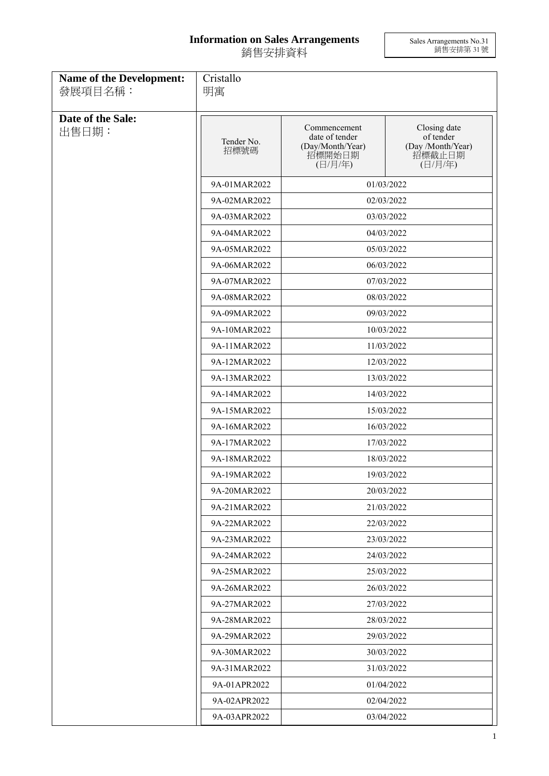## **Information on Sales Arrangements** 銷售安排資料

Sales Arrangements No.31 銷售安排第 31 號

| <b>Name of the Development:</b><br>發展項目名稱: | Cristallo<br>明寓    |                                                                         |                                                                     |  |
|--------------------------------------------|--------------------|-------------------------------------------------------------------------|---------------------------------------------------------------------|--|
| Date of the Sale:<br>出售日期:                 | Tender No.<br>招標號碼 | Commencement<br>date of tender<br>(Day/Month/Year)<br>招標開始日期<br>(日/月/年) | Closing date<br>of tender<br>(Day /Month/Year)<br>招標截止日期<br>(日/月/年) |  |
|                                            | 9A-01MAR2022       |                                                                         | 01/03/2022                                                          |  |
|                                            | 9A-02MAR2022       |                                                                         | 02/03/2022                                                          |  |
|                                            | 9A-03MAR2022       | 03/03/2022                                                              |                                                                     |  |
|                                            | 9A-04MAR2022       | 04/03/2022                                                              |                                                                     |  |
|                                            | 9A-05MAR2022       | 05/03/2022                                                              |                                                                     |  |
|                                            | 9A-06MAR2022       | 06/03/2022                                                              |                                                                     |  |
|                                            | 9A-07MAR2022       |                                                                         | 07/03/2022                                                          |  |
|                                            | 9A-08MAR2022       |                                                                         | 08/03/2022                                                          |  |
|                                            | 9A-09MAR2022       |                                                                         | 09/03/2022                                                          |  |
|                                            | 9A-10MAR2022       |                                                                         | 10/03/2022                                                          |  |
|                                            | 9A-11MAR2022       | 11/03/2022                                                              |                                                                     |  |
|                                            | 9A-12MAR2022       | 12/03/2022                                                              |                                                                     |  |
|                                            | 9A-13MAR2022       |                                                                         | 13/03/2022                                                          |  |
|                                            | 9A-14MAR2022       |                                                                         | 14/03/2022                                                          |  |
|                                            | 9A-15MAR2022       |                                                                         | 15/03/2022                                                          |  |
|                                            | 9A-16MAR2022       |                                                                         | 16/03/2022                                                          |  |
|                                            | 9A-17MAR2022       |                                                                         | 17/03/2022                                                          |  |
|                                            | 9A-18MAR2022       |                                                                         | 18/03/2022                                                          |  |
|                                            | 9A-19MAR2022       |                                                                         | 19/03/2022                                                          |  |
|                                            | 9A-20MAR2022       |                                                                         | 20/03/2022                                                          |  |
|                                            | 9A-21MAR2022       | 21/03/2022                                                              |                                                                     |  |
|                                            | 9A-22MAR2022       |                                                                         | 22/03/2022                                                          |  |
|                                            | 9A-23MAR2022       |                                                                         | 23/03/2022                                                          |  |
|                                            | 9A-24MAR2022       | 24/03/2022                                                              |                                                                     |  |
|                                            | 9A-25MAR2022       | 25/03/2022                                                              |                                                                     |  |
|                                            | 9A-26MAR2022       |                                                                         | 26/03/2022                                                          |  |
|                                            | 9A-27MAR2022       | 27/03/2022                                                              |                                                                     |  |
|                                            | 9A-28MAR2022       | 28/03/2022                                                              |                                                                     |  |
|                                            | 9A-29MAR2022       | 29/03/2022                                                              |                                                                     |  |
|                                            | 9A-30MAR2022       |                                                                         | 30/03/2022                                                          |  |
|                                            | 9A-31MAR2022       |                                                                         | 31/03/2022                                                          |  |
|                                            | 9A-01APR2022       |                                                                         | 01/04/2022                                                          |  |
|                                            | 9A-02APR2022       |                                                                         | 02/04/2022                                                          |  |
|                                            | 9A-03APR2022       | 03/04/2022                                                              |                                                                     |  |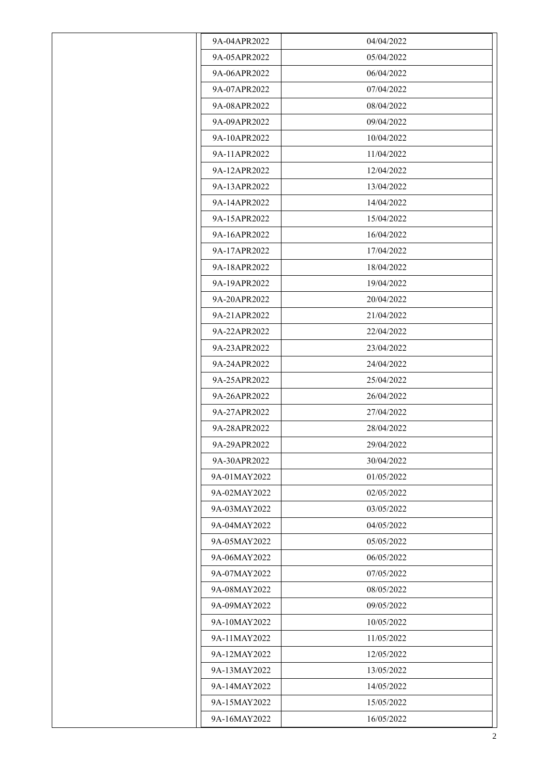| 9A-04APR2022 | 04/04/2022 |
|--------------|------------|
| 9A-05APR2022 | 05/04/2022 |
| 9A-06APR2022 | 06/04/2022 |
| 9A-07APR2022 | 07/04/2022 |
| 9A-08APR2022 | 08/04/2022 |
| 9A-09APR2022 | 09/04/2022 |
| 9A-10APR2022 | 10/04/2022 |
| 9A-11APR2022 | 11/04/2022 |
| 9A-12APR2022 | 12/04/2022 |
| 9A-13APR2022 | 13/04/2022 |
| 9A-14APR2022 | 14/04/2022 |
| 9A-15APR2022 | 15/04/2022 |
| 9A-16APR2022 | 16/04/2022 |
| 9A-17APR2022 | 17/04/2022 |
| 9A-18APR2022 | 18/04/2022 |
| 9A-19APR2022 | 19/04/2022 |
| 9A-20APR2022 | 20/04/2022 |
| 9A-21APR2022 | 21/04/2022 |
| 9A-22APR2022 | 22/04/2022 |
| 9A-23APR2022 | 23/04/2022 |
| 9A-24APR2022 | 24/04/2022 |
| 9A-25APR2022 | 25/04/2022 |
| 9A-26APR2022 | 26/04/2022 |
| 9A-27APR2022 | 27/04/2022 |
| 9A-28APR2022 | 28/04/2022 |
| 9A-29APR2022 | 29/04/2022 |
| 9A-30APR2022 | 30/04/2022 |
| 9A-01MAY2022 | 01/05/2022 |
| 9A-02MAY2022 | 02/05/2022 |
| 9A-03MAY2022 | 03/05/2022 |
| 9A-04MAY2022 | 04/05/2022 |
| 9A-05MAY2022 | 05/05/2022 |
| 9A-06MAY2022 | 06/05/2022 |
| 9A-07MAY2022 | 07/05/2022 |
| 9A-08MAY2022 | 08/05/2022 |
| 9A-09MAY2022 | 09/05/2022 |
| 9A-10MAY2022 | 10/05/2022 |
| 9A-11MAY2022 | 11/05/2022 |
| 9A-12MAY2022 | 12/05/2022 |
| 9A-13MAY2022 | 13/05/2022 |
| 9A-14MAY2022 | 14/05/2022 |
| 9A-15MAY2022 | 15/05/2022 |
| 9A-16MAY2022 | 16/05/2022 |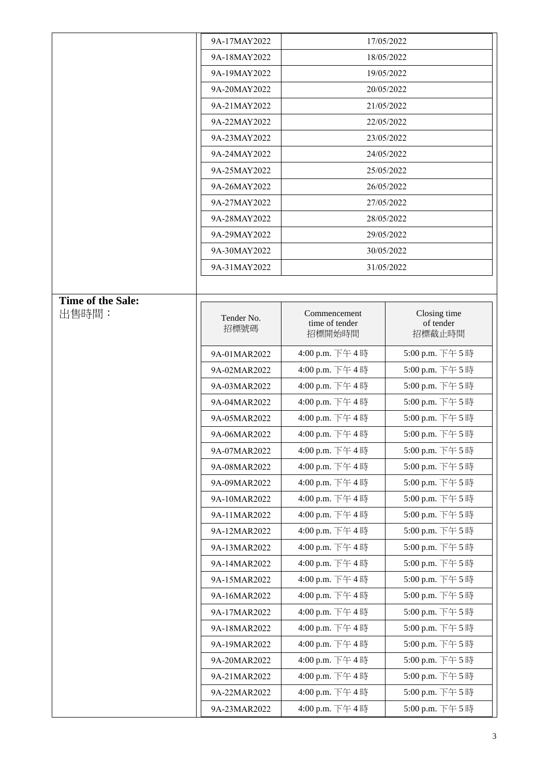|                   | 9A-17MAY2022       | 17/05/2022                               |                                     |
|-------------------|--------------------|------------------------------------------|-------------------------------------|
|                   | 9A-18MAY2022       | 18/05/2022                               |                                     |
|                   | 9A-19MAY2022       | 19/05/2022                               |                                     |
|                   | 9A-20MAY2022       | 20/05/2022                               |                                     |
|                   | 9A-21MAY2022       | 21/05/2022                               |                                     |
|                   | 9A-22MAY2022       | 22/05/2022                               |                                     |
|                   | 9A-23MAY2022       |                                          | 23/05/2022                          |
|                   | 9A-24MAY2022       |                                          | 24/05/2022                          |
|                   | 9A-25MAY2022       | 25/05/2022                               |                                     |
|                   | 9A-26MAY2022       | 26/05/2022                               |                                     |
|                   | 9A-27MAY2022       | 27/05/2022                               |                                     |
|                   | 9A-28MAY2022       | 28/05/2022                               |                                     |
|                   | 9A-29MAY2022       |                                          | 29/05/2022                          |
|                   | 9A-30MAY2022       |                                          | 30/05/2022                          |
|                   | 9A-31MAY2022       |                                          | 31/05/2022                          |
|                   |                    |                                          |                                     |
| Time of the Sale: |                    |                                          |                                     |
| 出售時間:             | Tender No.<br>招標號碼 | Commencement<br>time of tender<br>招標開始時間 | Closing time<br>of tender<br>招標截止時間 |
|                   | 9A-01MAR2022       | 4:00 p.m. 下午4時                           | 5:00 p.m. 下午5時                      |
|                   | 9A-02MAR2022       | 4:00 p.m. 下午4時                           | 5:00 p.m. 下午5時                      |
|                   | 9A-03MAR2022       | 4:00 p.m. 下午4時                           | 5:00 p.m. 下午5時                      |
|                   | 9A-04MAR2022       | 4:00 p.m. 下午4時                           | 5:00 p.m. 下午5時                      |
|                   | 9A-05MAR2022       | 4:00 p.m. 下午4時                           | 5:00 p.m. 下午5時                      |
|                   | 9A-06MAR2022       | 4:00 p.m. 下午4時                           | 5:00 p.m. 下午5時                      |
|                   | 9A-07MAR2022       | 4:00 p.m. 下午4時                           | 5:00 p.m. 下午5時                      |
|                   | 9A-08MAR2022       | 4:00 p.m. 下午4時                           | 5:00 p.m. 下午5時                      |
|                   | 9A-09MAR2022       | 4:00 p.m. 下午4時                           | 5:00 p.m. 下午5時                      |
|                   | 9A-10MAR2022       | 4:00 p.m. 下午4時                           | 5:00 p.m. 下午5時                      |
|                   | 9A-11MAR2022       | 4:00 p.m. 下午4時                           | 5:00 p.m. 下午5時                      |
|                   | 9A-12MAR2022       | 4:00 p.m. 下午4時                           | 5:00 p.m. 下午5時                      |
|                   | 9A-13MAR2022       | 4:00 p.m. 下午4時                           | 5:00 p.m. 下午5時                      |
|                   | 9A-14MAR2022       | 4:00 p.m. 下午4時                           | 5:00 p.m. 下午5時                      |
|                   | 9A-15MAR2022       | 4:00 p.m. 下午4時                           | 5:00 p.m. 下午5時                      |
|                   | 9A-16MAR2022       | 4:00 p.m. 下午4時                           | 5:00 p.m. 下午5時                      |
|                   | 9A-17MAR2022       | 4:00 p.m. 下午4時                           | 5:00 p.m. 下午5時                      |
|                   | 9A-18MAR2022       | 4:00 p.m. 下午4時                           | 5:00 p.m. 下午5時                      |
|                   | 9A-19MAR2022       | 4:00 p.m. 下午4時                           | 5:00 p.m. 下午5時                      |
|                   | 9A-20MAR2022       | 4:00 p.m. 下午4時                           | 5:00 p.m. 下午5時                      |
|                   | 9A-21MAR2022       | 4:00 p.m. 下午4時                           | 5:00 p.m. 下午5時                      |
|                   | 9A-22MAR2022       | 4:00 p.m. 下午4時                           | 5:00 p.m. 下午5時                      |
|                   | 9A-23MAR2022       | 4:00 p.m. 下午4時                           | 5:00 p.m. 下午5時                      |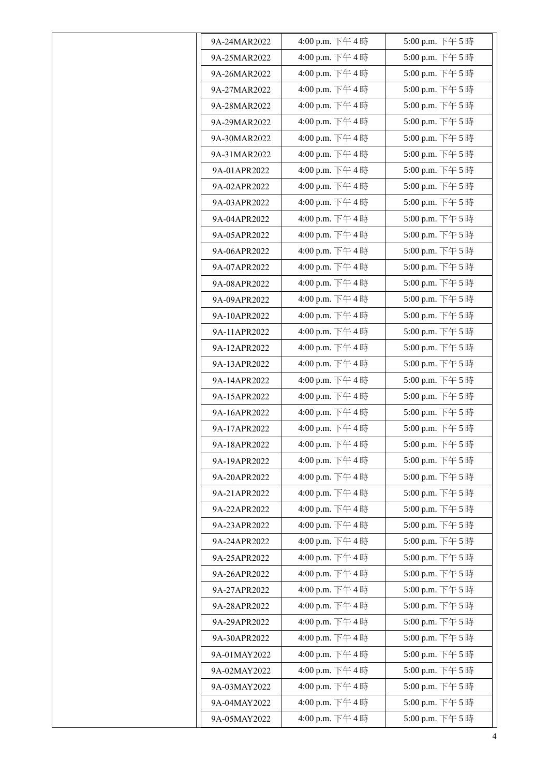| 9A-24MAR2022 | 4:00 p.m. 下午4時 | 5:00 p.m. 下午5時   |
|--------------|----------------|------------------|
| 9A-25MAR2022 | 4:00 p.m. 下午4時 | 5:00 p.m. 下午5時   |
| 9A-26MAR2022 | 4:00 p.m. 下午4時 | 5:00 p.m. 下午5時   |
| 9A-27MAR2022 | 4:00 p.m. 下午4時 | 5:00 p.m. 下午5時   |
| 9A-28MAR2022 | 4:00 p.m. 下午4時 | 5:00 p.m. 下午5時   |
| 9A-29MAR2022 | 4:00 p.m. 下午4時 | 5:00 p.m. 下午5時   |
| 9A-30MAR2022 | 4:00 p.m. 下午4時 | 5:00 p.m. 下午5時   |
| 9A-31MAR2022 | 4:00 p.m. 下午4時 | 5:00 p.m. 下午5時   |
| 9A-01APR2022 | 4:00 p.m. 下午4時 | 5:00 p.m. 下午5時   |
| 9A-02APR2022 | 4:00 p.m. 下午4時 | 5:00 p.m. 下午5時   |
| 9A-03APR2022 | 4:00 p.m. 下午4時 | 5:00 p.m. 下午5時   |
| 9A-04APR2022 | 4:00 p.m. 下午4時 | 5:00 p.m. 下午5時   |
| 9A-05APR2022 | 4:00 p.m. 下午4時 | 5:00 p.m. 下午5時   |
| 9A-06APR2022 | 4:00 p.m. 下午4時 | 5:00 p.m. 下午5時   |
| 9A-07APR2022 | 4:00 p.m. 下午4時 | 5:00 p.m. 下午5時   |
| 9A-08APR2022 | 4:00 p.m. 下午4時 | 5:00 p.m. 下午5時   |
| 9A-09APR2022 | 4:00 p.m. 下午4時 | 5:00 p.m. 下午5時   |
| 9A-10APR2022 | 4:00 p.m. 下午4時 | 5:00 p.m. 下午5時   |
| 9A-11APR2022 | 4:00 p.m. 下午4時 | 5:00 p.m. 下午5時   |
| 9A-12APR2022 | 4:00 p.m. 下午4時 | 5:00 p.m. 下午5時   |
| 9A-13APR2022 | 4:00 p.m. 下午4時 | 5:00 p.m. 下午5時   |
| 9A-14APR2022 | 4:00 p.m. 下午4時 | 5:00 p.m. 下午5時   |
| 9A-15APR2022 | 4:00 p.m. 下午4時 | 5:00 p.m. 下午5時   |
| 9A-16APR2022 | 4:00 p.m. 下午4時 | 5:00 p.m. 下午5時   |
| 9A-17APR2022 | 4:00 p.m. 下午4時 | 5:00 p.m. 下午5時   |
| 9A-18APR2022 | 4:00 p.m. 下午4時 | 5:00 p.m. 下午 5 時 |
| 9A-19APR2022 | 4:00 p.m. 下午4時 | 5:00 p.m. 下午5時   |
| 9A-20APR2022 | 4:00 p.m. 下午4時 | 5:00 p.m. 下午 5時  |
| 9A-21APR2022 | 4:00 p.m. 下午4時 | 5:00 p.m. 下午5時   |
| 9A-22APR2022 | 4:00 p.m. 下午4時 | 5:00 p.m. 下午5時   |
| 9A-23APR2022 | 4:00 p.m. 下午4時 | 5:00 p.m. 下午5時   |
| 9A-24APR2022 | 4:00 p.m. 下午4時 | 5:00 p.m. 下午5時   |
| 9A-25APR2022 | 4:00 p.m. 下午4時 | 5:00 p.m. 下午5時   |
| 9A-26APR2022 | 4:00 p.m. 下午4時 | 5:00 p.m. 下午5時   |
| 9A-27APR2022 | 4:00 p.m. 下午4時 | 5:00 p.m. 下午5時   |
| 9A-28APR2022 | 4:00 p.m. 下午4時 | 5:00 p.m. 下午5時   |
| 9A-29APR2022 | 4:00 p.m. 下午4時 | 5:00 p.m. 下午5時   |
| 9A-30APR2022 | 4:00 p.m. 下午4時 | 5:00 p.m. 下午5時   |
| 9A-01MAY2022 | 4:00 p.m. 下午4時 | 5:00 p.m. 下午5時   |
| 9A-02MAY2022 | 4:00 p.m. 下午4時 | 5:00 p.m. 下午5時   |
| 9A-03MAY2022 | 4:00 p.m. 下午4時 | 5:00 p.m. 下午5時   |
| 9A-04MAY2022 | 4:00 p.m. 下午4時 | 5:00 p.m. 下午5時   |
| 9A-05MAY2022 | 4:00 p.m. 下午4時 | 5:00 p.m. 下午5時   |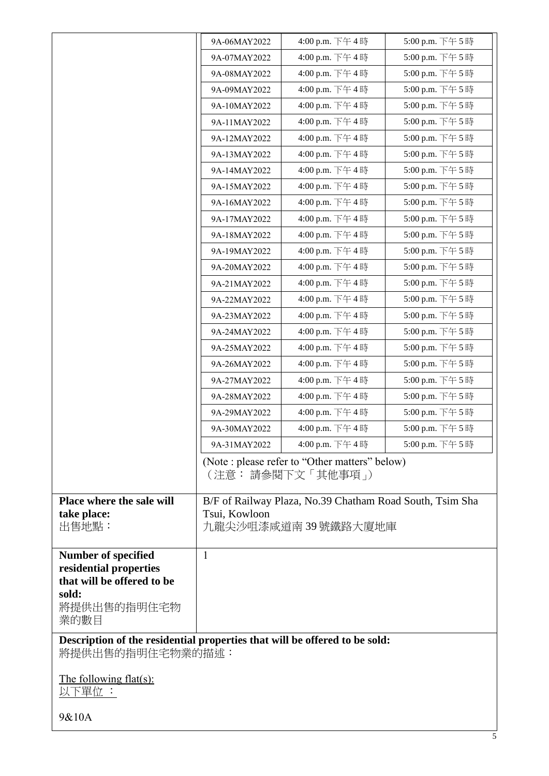|                                                                                                | 9A-06MAY2022  | 4:00 p.m. 下午4時                                                                   | 5:00 p.m. 下午5時 |
|------------------------------------------------------------------------------------------------|---------------|----------------------------------------------------------------------------------|----------------|
|                                                                                                | 9A-07MAY2022  | 4:00 p.m. 下午4時                                                                   | 5:00 p.m. 下午5時 |
|                                                                                                | 9A-08MAY2022  | 4:00 p.m. 下午4時                                                                   | 5:00 p.m. 下午5時 |
|                                                                                                | 9A-09MAY2022  | 4:00 p.m. 下午4時                                                                   | 5:00 p.m. 下午5時 |
|                                                                                                | 9A-10MAY2022  | 4:00 p.m. 下午4時                                                                   | 5:00 p.m. 下午5時 |
|                                                                                                | 9A-11MAY2022  | 4:00 p.m. 下午4時                                                                   | 5:00 p.m. 下午5時 |
|                                                                                                | 9A-12MAY2022  | 4:00 p.m. 下午4時                                                                   | 5:00 p.m. 下午5時 |
|                                                                                                | 9A-13MAY2022  | 4:00 p.m. 下午4時                                                                   | 5:00 p.m. 下午5時 |
|                                                                                                | 9A-14MAY2022  | 4:00 p.m. 下午4時                                                                   | 5:00 p.m. 下午5時 |
|                                                                                                | 9A-15MAY2022  | 4:00 p.m. 下午4時                                                                   | 5:00 p.m. 下午5時 |
|                                                                                                | 9A-16MAY2022  | 4:00 p.m. 下午4時                                                                   | 5:00 p.m. 下午5時 |
|                                                                                                | 9A-17MAY2022  | 4:00 p.m. 下午4時                                                                   | 5:00 p.m. 下午5時 |
|                                                                                                | 9A-18MAY2022  | 4:00 p.m. 下午4時                                                                   | 5:00 p.m. 下午5時 |
|                                                                                                | 9A-19MAY2022  | 4:00 p.m. 下午4時                                                                   | 5:00 p.m. 下午5時 |
|                                                                                                | 9A-20MAY2022  | 4:00 p.m. 下午4時                                                                   | 5:00 p.m. 下午5時 |
|                                                                                                | 9A-21MAY2022  | 4:00 p.m. 下午4時                                                                   | 5:00 p.m. 下午5時 |
|                                                                                                | 9A-22MAY2022  | 4:00 p.m. 下午4時                                                                   | 5:00 p.m. 下午5時 |
|                                                                                                | 9A-23MAY2022  | 4:00 p.m. 下午4時                                                                   | 5:00 p.m. 下午5時 |
|                                                                                                | 9A-24MAY2022  | 4:00 p.m. 下午4時                                                                   | 5:00 p.m. 下午5時 |
|                                                                                                | 9A-25MAY2022  | 4:00 p.m. 下午4時                                                                   | 5:00 p.m. 下午5時 |
|                                                                                                | 9A-26MAY2022  | 4:00 p.m. 下午4時                                                                   | 5:00 p.m. 下午5時 |
|                                                                                                | 9A-27MAY2022  | 4:00 p.m. 下午4時                                                                   | 5:00 p.m. 下午5時 |
|                                                                                                | 9A-28MAY2022  | 4:00 p.m. 下午4時                                                                   | 5:00 p.m. 下午5時 |
|                                                                                                | 9A-29MAY2022  | 4:00 p.m. 下午4時                                                                   | 5:00 p.m. 下午5時 |
|                                                                                                | 9A-30MAY2022  | 4:00 p.m. 下午4時                                                                   | 5:00 p.m. 下午5時 |
|                                                                                                | 9A-31MAY2022  | 4:00 p.m. 下午4時                                                                   | 5:00 p.m. 下午5時 |
|                                                                                                |               | (Note : please refer to "Other matters" below)<br>(注意: 請參閱下文 「其他事項」)             |                |
| Place where the sale will<br>take place:<br>出售地點:                                              | Tsui, Kowloon | B/F of Railway Plaza, No.39 Chatham Road South, Tsim Sha<br>九龍尖沙咀漆咸道南 39 號鐵路大廈地庫 |                |
| <b>Number of specified</b><br>residential properties<br>that will be offered to be<br>sold:    | $\mathbf{1}$  |                                                                                  |                |
| 將提供出售的指明住宅物<br>業的數目                                                                            |               |                                                                                  |                |
| Description of the residential properties that will be offered to be sold:<br>將提供出售的指明住宅物業的描述: |               |                                                                                  |                |
| <u>The following flat(s):</u><br>以下單位:                                                         |               |                                                                                  |                |
| 9&10A                                                                                          |               |                                                                                  |                |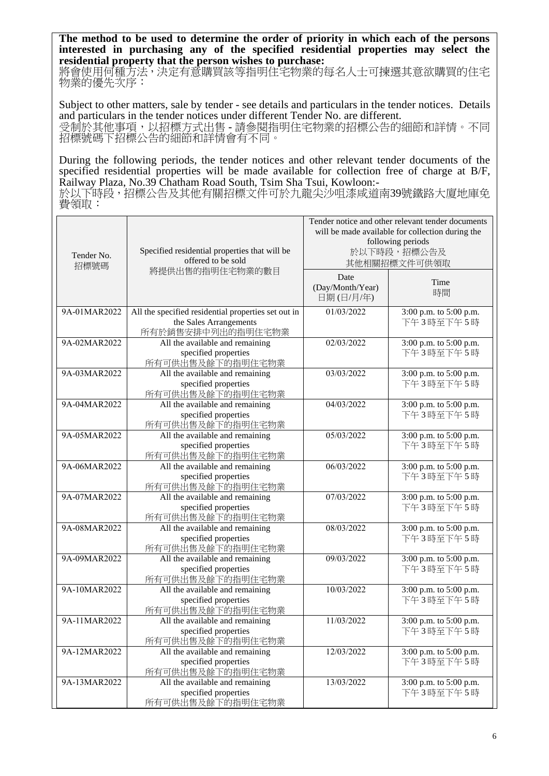**The method to be used to determine the order of priority in which each of the persons interested in purchasing any of the specified residential properties may select the residential property that the person wishes to purchase:** 

將會使用何種方法,決定有意購買該等指明住宅物業的每名人士可揀選其意欲購買的住宅 物業的優先次序:

Subject to other matters, sale by tender - see details and particulars in the tender notices. Details and particulars in the tender notices under different Tender No. are different. 受制於其他事項,以招標方式出售 - 請參閱指明住宅物業的招標公告的細節和詳情。不同 招標號碼下招標公告的細節和詳情會有不同。

During the following periods, the tender notices and other relevant tender documents of the specified residential properties will be made available for collection free of charge at B/F, Railway Plaza, No.39 Chatham Road South, Tsim Sha Tsui, Kowloon:-

於以下時段,招標公告及其他有關招標文件可於九龍尖沙咀漆咸道南39號鐵路大廈地庫免 費領取:

| Tender No.<br>招標號碼 | Specified residential properties that will be<br>offered to be sold                                | Tender notice and other relevant tender documents<br>will be made available for collection during the<br>following periods<br>於以下時段,招標公告及<br>其他相關招標文件可供領取 |                                     |
|--------------------|----------------------------------------------------------------------------------------------------|-----------------------------------------------------------------------------------------------------------------------------------------------------------|-------------------------------------|
|                    | 將提供出售的指明住宅物業的數目                                                                                    | Date<br>(Day/Month/Year)<br>日期(日/月/年)                                                                                                                     | Time<br>時間                          |
| 9A-01MAR2022       | All the specified residential properties set out in<br>the Sales Arrangements<br>所有於銷售安排中列出的指明住宅物業 | 01/03/2022                                                                                                                                                | 3:00 p.m. to 5:00 p.m.<br>下午3時至下午5時 |
| 9A-02MAR2022       | All the available and remaining<br>specified properties<br>所有可供出售及餘下的指明住宅物業                        | 02/03/2022                                                                                                                                                | 3:00 p.m. to 5:00 p.m.<br>下午3時至下午5時 |
| 9A-03MAR2022       | All the available and remaining<br>specified properties<br>所有可供出售及餘下的指明住宅物業                        | 03/03/2022                                                                                                                                                | 3:00 p.m. to 5:00 p.m.<br>下午3時至下午5時 |
| 9A-04MAR2022       | All the available and remaining<br>specified properties<br>所有可供出售及餘下的指明住宅物業                        | 04/03/2022                                                                                                                                                | 3:00 p.m. to 5:00 p.m.<br>下午3時至下午5時 |
| 9A-05MAR2022       | All the available and remaining<br>specified properties<br>所有可供出售及餘下的指明住宅物業                        | 05/03/2022                                                                                                                                                | 3:00 p.m. to 5:00 p.m.<br>下午3時至下午5時 |
| 9A-06MAR2022       | All the available and remaining<br>specified properties<br>所有可供出售及餘下的指明住宅物業                        | 06/03/2022                                                                                                                                                | 3:00 p.m. to 5:00 p.m.<br>下午3時至下午5時 |
| 9A-07MAR2022       | All the available and remaining<br>specified properties<br>所有可供出售及餘下的指明住宅物業                        | 07/03/2022                                                                                                                                                | 3:00 p.m. to 5:00 p.m.<br>下午3時至下午5時 |
| 9A-08MAR2022       | All the available and remaining<br>specified properties<br>所有可供出售及餘下的指明住宅物業                        | 08/03/2022                                                                                                                                                | 3:00 p.m. to 5:00 p.m.<br>下午3時至下午5時 |
| 9A-09MAR2022       | All the available and remaining<br>specified properties<br>所有可供出售及餘下的指明住宅物業                        | 09/03/2022                                                                                                                                                | 3:00 p.m. to 5:00 p.m.<br>下午3時至下午5時 |
| 9A-10MAR2022       | All the available and remaining<br>specified properties<br>所有可供出售及餘下的指明住宅物業                        | 10/03/2022                                                                                                                                                | 3:00 p.m. to 5:00 p.m.<br>下午3時至下午5時 |
| 9A-11MAR2022       | All the available and remaining<br>specified properties<br>所有可供出售及餘下的指明住宅物業                        | 11/03/2022                                                                                                                                                | 3:00 p.m. to 5:00 p.m.<br>下午3時至下午5時 |
| 9A-12MAR2022       | All the available and remaining<br>specified properties<br>所有可供出售及餘下的指明住宅物業                        | 12/03/2022                                                                                                                                                | 3:00 p.m. to 5:00 p.m.<br>下午3時至下午5時 |
| 9A-13MAR2022       | All the available and remaining<br>specified properties<br>所有可供出售及餘下的指明住宅物業                        | 13/03/2022                                                                                                                                                | 3:00 p.m. to 5:00 p.m.<br>下午3時至下午5時 |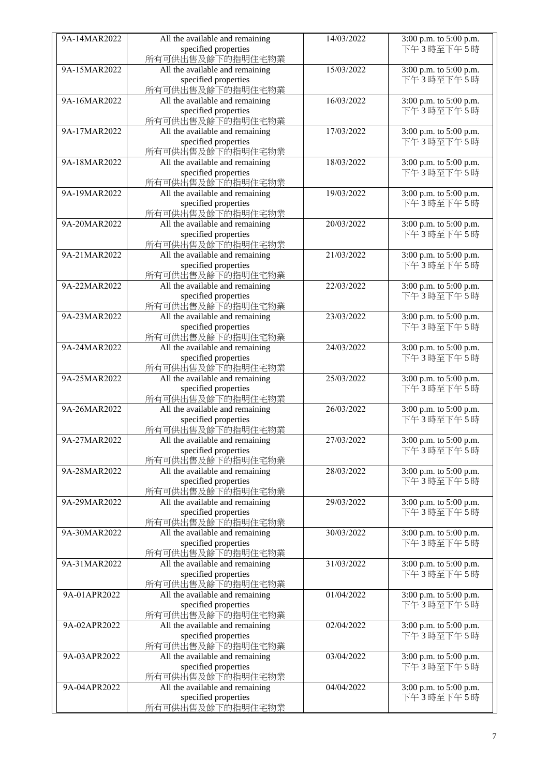| 9A-14MAR2022 | All the available and remaining | 14/03/2022 | 3:00 p.m. to 5:00 p.m. |
|--------------|---------------------------------|------------|------------------------|
|              |                                 |            |                        |
|              | specified properties            |            | 下午3時至下午5時              |
|              | 所有可供出售及餘下的指明住宅物業                |            |                        |
| 9A-15MAR2022 | All the available and remaining | 15/03/2022 | 3:00 p.m. to 5:00 p.m. |
|              | specified properties            |            | 下午3時至下午5時              |
|              | 所有可供出售及餘下的指明住宅物業                |            |                        |
| 9A-16MAR2022 | All the available and remaining | 16/03/2022 | 3:00 p.m. to 5:00 p.m. |
|              | specified properties            |            | 下午3時至下午5時              |
|              | 所有可供出售及餘下的指明住宅物業                |            |                        |
| 9A-17MAR2022 |                                 | 17/03/2022 | 3:00 p.m. to 5:00 p.m. |
|              | All the available and remaining |            |                        |
|              | specified properties            |            | 下午3時至下午5時              |
|              | 所有可供出售及餘下的指明住宅物業                |            |                        |
| 9A-18MAR2022 | All the available and remaining | 18/03/2022 | 3:00 p.m. to 5:00 p.m. |
|              | specified properties            |            | 下午3時至下午5時              |
|              | 所有可供出售及餘下的指明住宅物業                |            |                        |
| 9A-19MAR2022 | All the available and remaining | 19/03/2022 | 3:00 p.m. to 5:00 p.m. |
|              | specified properties            |            | 下午3時至下午5時              |
|              |                                 |            |                        |
|              | 所有可供出售及餘下的指明住宅物業                |            |                        |
| 9A-20MAR2022 | All the available and remaining | 20/03/2022 | 3:00 p.m. to 5:00 p.m. |
|              | specified properties            |            | 下午3時至下午5時              |
|              | 所有可供出售及餘下的指明住宅物業                |            |                        |
| 9A-21MAR2022 | All the available and remaining | 21/03/2022 | 3:00 p.m. to 5:00 p.m. |
|              | specified properties            |            | 下午3時至下午5時              |
|              | 所有可供出售及餘下的指明住宅物業                |            |                        |
| 9A-22MAR2022 | All the available and remaining | 22/03/2022 | 3:00 p.m. to 5:00 p.m. |
|              | specified properties            |            | 下午3時至下午5時              |
|              |                                 |            |                        |
|              | 所有可供出售及餘下的指明住宅物業                |            |                        |
| 9A-23MAR2022 | All the available and remaining | 23/03/2022 | 3:00 p.m. to 5:00 p.m. |
|              | specified properties            |            | 下午3時至下午5時              |
|              | 所有可供出售及餘下的指明住宅物業                |            |                        |
| 9A-24MAR2022 | All the available and remaining | 24/03/2022 | 3:00 p.m. to 5:00 p.m. |
|              | specified properties            |            | 下午3時至下午5時              |
|              | 所有可供出售及餘下的指明住宅物業                |            |                        |
| 9A-25MAR2022 | All the available and remaining | 25/03/2022 | 3:00 p.m. to 5:00 p.m. |
|              | specified properties            |            | 下午3時至下午5時              |
|              | 所有可供出售及餘下的指明住宅物業                |            |                        |
| 9A-26MAR2022 |                                 | 26/03/2022 |                        |
|              | All the available and remaining |            | 3:00 p.m. to 5:00 p.m. |
|              | specified properties            |            | 下午3時至下午5時              |
|              | 所有可供出售及餘下的指明住宅物業                |            |                        |
| 9A-27MAR2022 | All the available and remaining | 27/03/2022 | 3:00 p.m. to 5:00 p.m. |
|              | specified properties            |            | 下午3時至下午5時              |
|              | 所有可供出售及餘下的指明住宅物業                |            |                        |
| 9A-28MAR2022 | All the available and remaining | 28/03/2022 | 3:00 p.m. to 5:00 p.m. |
|              | specified properties            |            | 下午3時至下午5時              |
|              | 所有可供出售及餘下的指明住宅物業                |            |                        |
| 9A-29MAR2022 | All the available and remaining | 29/03/2022 | 3:00 p.m. to 5:00 p.m. |
|              |                                 |            |                        |
|              | specified properties            |            | 下午3時至下午5時              |
|              | 所有可供出售及餘下的指明住宅物業                |            |                        |
| 9A-30MAR2022 | All the available and remaining | 30/03/2022 | 3:00 p.m. to 5:00 p.m. |
|              | specified properties            |            | 下午3時至下午5時              |
|              | 所有可供出售及餘下的指明住宅物業                |            |                        |
| 9A-31MAR2022 | All the available and remaining | 31/03/2022 | 3:00 p.m. to 5:00 p.m. |
|              | specified properties            |            | 下午3時至下午5時              |
|              | 所有可供出售及餘下的指明住宅物業                |            |                        |
| 9A-01APR2022 | All the available and remaining | 01/04/2022 | 3:00 p.m. to 5:00 p.m. |
|              |                                 |            | 下午3時至下午5時              |
|              | specified properties            |            |                        |
|              | 所有可供出售及餘下的指明住宅物業                |            |                        |
| 9A-02APR2022 | All the available and remaining | 02/04/2022 | 3:00 p.m. to 5:00 p.m. |
|              | specified properties            |            | 下午3時至下午5時              |
|              | 所有可供出售及餘下的指明住宅物業                |            |                        |
| 9A-03APR2022 | All the available and remaining | 03/04/2022 | 3:00 p.m. to 5:00 p.m. |
|              | specified properties            |            | 下午3時至下午5時              |
|              | 所有可供出售及餘下的指明住宅物業                |            |                        |
| 9A-04APR2022 | All the available and remaining | 04/04/2022 | 3:00 p.m. to 5:00 p.m. |
|              | specified properties            |            | 下午3時至下午5時              |
|              | 所有可供出售及餘下的指明住宅物業                |            |                        |
|              |                                 |            |                        |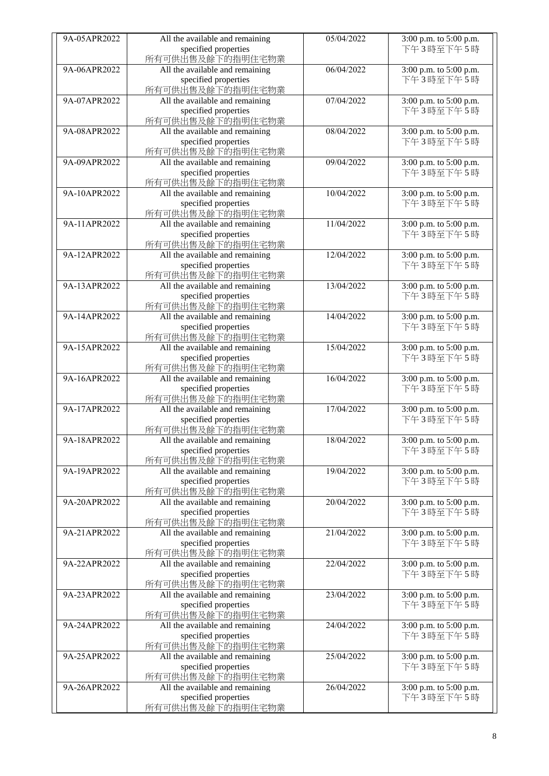| 9A-05APR2022 | All the available and remaining          | 05/04/2022 | 3:00 p.m. to 5:00 p.m. |
|--------------|------------------------------------------|------------|------------------------|
|              | specified properties                     |            | 下午3時至下午5時              |
|              | 所有可供出售及餘下的指明住宅物業                         |            |                        |
| 9A-06APR2022 |                                          | 06/04/2022 |                        |
|              | All the available and remaining          |            | 3:00 p.m. to 5:00 p.m. |
|              | specified properties                     |            | 下午3時至下午5時              |
|              | 所有可供出售及餘下的指明住宅物業                         |            |                        |
| 9A-07APR2022 | All the available and remaining          | 07/04/2022 | 3:00 p.m. to 5:00 p.m. |
|              |                                          |            |                        |
|              | specified properties                     |            | 下午3時至下午5時              |
|              | 所有可供出售及餘下的指明住宅物業                         |            |                        |
| 9A-08APR2022 | All the available and remaining          | 08/04/2022 | 3:00 p.m. to 5:00 p.m. |
|              |                                          |            |                        |
|              | specified properties                     |            | 下午3時至下午5時              |
|              | 所有可供出售及餘下的指明住宅物業                         |            |                        |
| 9A-09APR2022 | All the available and remaining          | 09/04/2022 | 3:00 p.m. to 5:00 p.m. |
|              |                                          |            |                        |
|              | specified properties                     |            | 下午3時至下午5時              |
|              | 所有可供出售及餘下的指明住宅物業                         |            |                        |
| 9A-10APR2022 | All the available and remaining          | 10/04/2022 | 3:00 p.m. to 5:00 p.m. |
|              |                                          |            |                        |
|              | specified properties                     |            | 下午3時至下午5時              |
|              | 所有可供出售及餘下的指明住宅物業                         |            |                        |
| 9A-11APR2022 | All the available and remaining          | 11/04/2022 | 3:00 p.m. to 5:00 p.m. |
|              |                                          |            |                        |
|              | specified properties                     |            | 下午3時至下午5時              |
|              | 所有可供出售及餘下的指明住宅物業                         |            |                        |
| 9A-12APR2022 | All the available and remaining          | 12/04/2022 | 3:00 p.m. to 5:00 p.m. |
|              |                                          |            |                        |
|              | specified properties                     |            | 下午3時至下午5時              |
|              | 所有可供出售及餘下的指明住宅物業                         |            |                        |
| 9A-13APR2022 | All the available and remaining          | 13/04/2022 | 3:00 p.m. to 5:00 p.m. |
|              |                                          |            |                        |
|              | specified properties                     |            | 下午3時至下午5時              |
|              | 所有可供出售及餘下的指明住宅物業                         |            |                        |
| 9A-14APR2022 | All the available and remaining          | 14/04/2022 | 3:00 p.m. to 5:00 p.m. |
|              |                                          |            |                        |
|              | specified properties                     |            | 下午3時至下午5時              |
|              | 所有可供出售及餘下的指明住宅物業                         |            |                        |
| 9A-15APR2022 | All the available and remaining          | 15/04/2022 | 3:00 p.m. to 5:00 p.m. |
|              |                                          |            |                        |
|              | specified properties                     |            | 下午3時至下午5時              |
|              | 所有可供出售及餘下的指明住宅物業                         |            |                        |
| 9A-16APR2022 | All the available and remaining          | 16/04/2022 | 3:00 p.m. to 5:00 p.m. |
|              |                                          |            | 下午3時至下午5時              |
|              | specified properties                     |            |                        |
|              | 所有可供出售及餘下的指明住宅物業                         |            |                        |
| 9A-17APR2022 | All the available and remaining          | 17/04/2022 | 3:00 p.m. to 5:00 p.m. |
|              | specified properties                     |            | 下午3時至下午5時              |
|              |                                          |            |                        |
|              | 所有可供出售及餘下的指明住宅物業                         |            |                        |
| 9A-18APR2022 | All the available and remaining          | 18/04/2022 | 3:00 p.m. to 5:00 p.m. |
|              | specified properties                     |            | 下午3時至下午5時              |
|              |                                          |            |                        |
|              | 所有可供出售及餘下的指明住宅物業                         |            |                        |
| 9A-19APR2022 | All the available and remaining          | 19/04/2022 | 3:00 p.m. to 5:00 p.m. |
|              | specified properties                     |            | 下午3時至下午5時              |
|              |                                          |            |                        |
|              | 所有可供出售及餘下的指明住宅物業                         |            |                        |
| 9A-20APR2022 | All the available and remaining          | 20/04/2022 | 3:00 p.m. to 5:00 p.m. |
|              | specified properties                     |            | 下午3時至下午5時              |
|              |                                          |            |                        |
|              |                                          |            |                        |
|              | 所有可供出售及餘下的指明住宅物業                         |            |                        |
| 9A-21APR2022 | All the available and remaining          | 21/04/2022 | 3:00 p.m. to 5:00 p.m. |
|              | specified properties                     |            | 下午3時至下午5時              |
|              |                                          |            |                        |
|              | 所有可供出售及餘下的指明住宅物業                         |            |                        |
| 9A-22APR2022 | All the available and remaining          | 22/04/2022 | 3:00 p.m. to 5:00 p.m. |
|              | specified properties                     |            | 下午3時至下午5時              |
|              |                                          |            |                        |
|              | 所有可供出售及餘下的指明住宅物業                         |            |                        |
| 9A-23APR2022 | All the available and remaining          | 23/04/2022 | 3:00 p.m. to 5:00 p.m. |
|              | specified properties                     |            | 下午3時至下午5時              |
|              |                                          |            |                        |
|              | 所有可供出售及餘下的指明住宅物業                         |            |                        |
| 9A-24APR2022 | All the available and remaining          | 24/04/2022 | 3:00 p.m. to 5:00 p.m. |
|              | specified properties                     |            | 下午3時至下午5時              |
|              | 所有可供出售及餘下的指明住宅物業                         |            |                        |
|              |                                          |            |                        |
| 9A-25APR2022 | All the available and remaining          | 25/04/2022 | 3:00 p.m. to 5:00 p.m. |
|              | specified properties                     |            | 下午3時至下午5時              |
|              | 所有可供出售及餘下的指明住宅物業                         |            |                        |
|              |                                          |            |                        |
| 9A-26APR2022 | All the available and remaining          | 26/04/2022 | 3:00 p.m. to 5:00 p.m. |
|              | specified properties<br>所有可供出售及餘下的指明住宅物業 |            | 下午3時至下午5時              |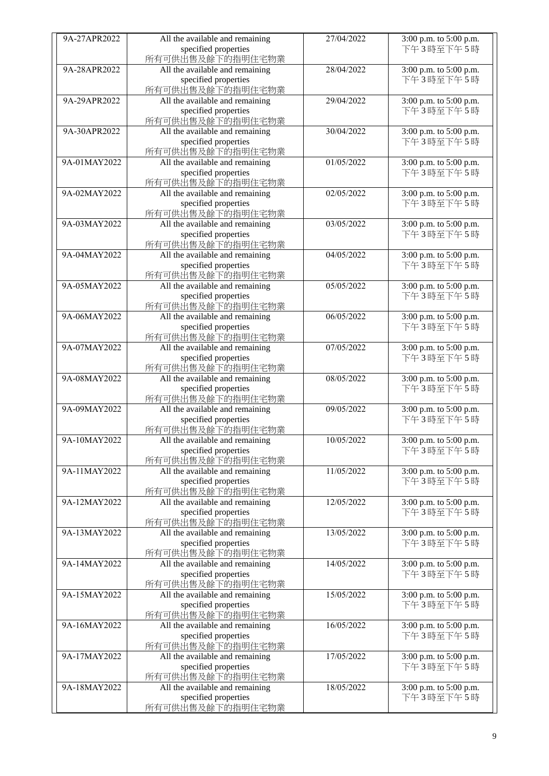| 9A-27APR2022 | All the available and remaining | 27/04/2022 | 3:00 p.m. to 5:00 p.m. |
|--------------|---------------------------------|------------|------------------------|
|              |                                 |            |                        |
|              | specified properties            |            | 下午3時至下午5時              |
|              | 所有可供出售及餘下的指明住宅物業                |            |                        |
| 9A-28APR2022 | All the available and remaining | 28/04/2022 | 3:00 p.m. to 5:00 p.m. |
|              | specified properties            |            | 下午3時至下午5時              |
|              | 所有可供出售及餘下的指明住宅物業                |            |                        |
| 9A-29APR2022 | All the available and remaining | 29/04/2022 | 3:00 p.m. to 5:00 p.m. |
|              | specified properties            |            | 下午3時至下午5時              |
|              |                                 |            |                        |
|              | 所有可供出售及餘下的指明住宅物業                |            |                        |
| 9A-30APR2022 | All the available and remaining | 30/04/2022 | 3:00 p.m. to 5:00 p.m. |
|              | specified properties            |            | 下午3時至下午5時              |
|              | 所有可供出售及餘下的指明住宅物業                |            |                        |
| 9A-01MAY2022 | All the available and remaining | 01/05/2022 | 3:00 p.m. to 5:00 p.m. |
|              | specified properties            |            | 下午3時至下午5時              |
|              | 所有可供出售及餘下的指明住宅物業                |            |                        |
|              |                                 |            |                        |
| 9A-02MAY2022 | All the available and remaining | 02/05/2022 | 3:00 p.m. to 5:00 p.m. |
|              | specified properties            |            | 下午3時至下午5時              |
|              | 所有可供出售及餘下的指明住宅物業                |            |                        |
| 9A-03MAY2022 | All the available and remaining | 03/05/2022 | 3:00 p.m. to 5:00 p.m. |
|              | specified properties            |            | 下午3時至下午5時              |
|              | 所有可供出售及餘下的指明住宅物業                |            |                        |
| 9A-04MAY2022 | All the available and remaining | 04/05/2022 | 3:00 p.m. to 5:00 p.m. |
|              |                                 |            |                        |
|              | specified properties            |            | 下午3時至下午5時              |
|              | 所有可供出售及餘下的指明住宅物業                |            |                        |
| 9A-05MAY2022 | All the available and remaining | 05/05/2022 | 3:00 p.m. to 5:00 p.m. |
|              | specified properties            |            | 下午3時至下午5時              |
|              | 所有可供出售及餘下的指明住宅物業                |            |                        |
| 9A-06MAY2022 | All the available and remaining | 06/05/2022 | 3:00 p.m. to 5:00 p.m. |
|              | specified properties            |            | 下午3時至下午5時              |
|              |                                 |            |                        |
|              | 所有可供出售及餘下的指明住宅物業                |            |                        |
| 9A-07MAY2022 | All the available and remaining | 07/05/2022 | 3:00 p.m. to 5:00 p.m. |
|              | specified properties            |            | 下午3時至下午5時              |
|              | 所有可供出售及餘下的指明住宅物業                |            |                        |
| 9A-08MAY2022 | All the available and remaining | 08/05/2022 | 3:00 p.m. to 5:00 p.m. |
|              | specified properties            |            | 下午3時至下午5時              |
|              | 所有可供出售及餘下的指明住宅物業                |            |                        |
| 9A-09MAY2022 | All the available and remaining | 09/05/2022 | 3:00 p.m. to 5:00 p.m. |
|              |                                 |            |                        |
|              | specified properties            |            | 下午3時至下午5時              |
|              | 所有可供出售及餘下的指明住宅物業                |            |                        |
| 9A-10MAY2022 | All the available and remaining | 10/05/2022 | 3:00 p.m. to 5:00 p.m. |
|              | specified properties            |            | 下午3時至下午5時              |
|              | 所有可供出售及餘下的指明住宅物業                |            |                        |
| 9A-11MAY2022 | All the available and remaining | 11/05/2022 | 3:00 p.m. to 5:00 p.m. |
|              | specified properties            |            | 下午3時至下午5時              |
|              | 所有可供出售及餘下的指明住宅物業                |            |                        |
|              |                                 |            |                        |
| 9A-12MAY2022 | All the available and remaining | 12/05/2022 | 3:00 p.m. to 5:00 p.m. |
|              | specified properties            |            | 下午3時至下午5時              |
|              | 所有可供出售及餘下的指明住宅物業                |            |                        |
| 9A-13MAY2022 | All the available and remaining | 13/05/2022 | 3:00 p.m. to 5:00 p.m. |
|              | specified properties            |            | 下午3時至下午5時              |
|              | 所有可供出售及餘下的指明住宅物業                |            |                        |
| 9A-14MAY2022 | All the available and remaining | 14/05/2022 | 3:00 p.m. to 5:00 p.m. |
|              | specified properties            |            | 下午3時至下午5時              |
|              |                                 |            |                        |
|              | 所有可供出售及餘下的指明住宅物業                |            |                        |
| 9A-15MAY2022 | All the available and remaining | 15/05/2022 | 3:00 p.m. to 5:00 p.m. |
|              | specified properties            |            | 下午3時至下午5時              |
|              | 所有可供出售及餘下的指明住宅物業                |            |                        |
| 9A-16MAY2022 | All the available and remaining | 16/05/2022 | 3:00 p.m. to 5:00 p.m. |
|              | specified properties            |            | 下午3時至下午5時              |
|              | 所有可供出售及餘下的指明住宅物業                |            |                        |
| 9A-17MAY2022 | All the available and remaining | 17/05/2022 |                        |
|              |                                 |            | 3:00 p.m. to 5:00 p.m. |
|              | specified properties            |            | 下午3時至下午5時              |
|              | 所有可供出售及餘下的指明住宅物業                |            |                        |
| 9A-18MAY2022 | All the available and remaining | 18/05/2022 | 3:00 p.m. to 5:00 p.m. |
|              | specified properties            |            | 下午3時至下午5時              |
|              | 所有可供出售及餘下的指明住宅物業                |            |                        |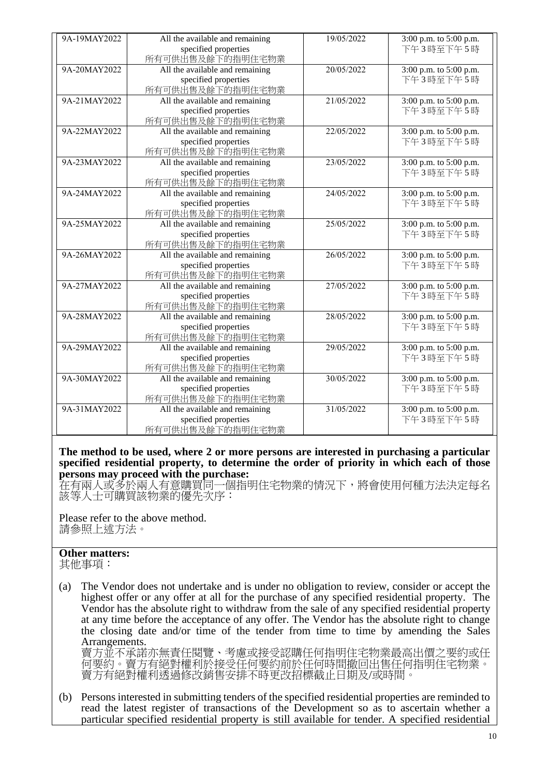| 9A-19MAY2022 | All the available and remaining | 19/05/2022 | 3:00 p.m. to 5:00 p.m. |
|--------------|---------------------------------|------------|------------------------|
|              | specified properties            |            | 下午3時至下午5時              |
|              | 所有可供出售及餘下的指明住宅物業                |            |                        |
| 9A-20MAY2022 | All the available and remaining | 20/05/2022 | 3:00 p.m. to 5:00 p.m. |
|              | specified properties            |            | 下午3時至下午5時              |
|              | 所有可供出售及餘下的指明住宅物業                |            |                        |
| 9A-21MAY2022 | All the available and remaining | 21/05/2022 | 3:00 p.m. to 5:00 p.m. |
|              | specified properties            |            | 下午3時至下午5時              |
|              | 所有可供出售及餘下的指明住宅物業                |            |                        |
| 9A-22MAY2022 | All the available and remaining | 22/05/2022 | 3:00 p.m. to 5:00 p.m. |
|              | specified properties            |            | 下午3時至下午5時              |
|              | 所有可供出售及餘下的指明住宅物業                |            |                        |
| 9A-23MAY2022 | All the available and remaining | 23/05/2022 | 3:00 p.m. to 5:00 p.m. |
|              | specified properties            |            | 下午3時至下午5時              |
|              | 所有可供出售及餘下的指明住宅物業                |            |                        |
| 9A-24MAY2022 | All the available and remaining | 24/05/2022 | 3:00 p.m. to 5:00 p.m. |
|              | specified properties            |            | 下午3時至下午5時              |
|              | 所有可供出售及餘下的指明住宅物業                |            |                        |
| 9A-25MAY2022 | All the available and remaining | 25/05/2022 | 3:00 p.m. to 5:00 p.m. |
|              | specified properties            |            | 下午3時至下午5時              |
|              | 所有可供出售及餘下的指明住宅物業                |            |                        |
| 9A-26MAY2022 | All the available and remaining | 26/05/2022 | 3:00 p.m. to 5:00 p.m. |
|              | specified properties            |            | 下午3時至下午5時              |
|              | 所有可供出售及餘下的指明住宅物業                |            |                        |
| 9A-27MAY2022 | All the available and remaining | 27/05/2022 | 3:00 p.m. to 5:00 p.m. |
|              | specified properties            |            | 下午3時至下午5時              |
|              | 所有可供出售及餘下的指明住宅物業                |            |                        |
| 9A-28MAY2022 | All the available and remaining | 28/05/2022 | 3:00 p.m. to 5:00 p.m. |
|              | specified properties            |            | 下午3時至下午5時              |
|              | 所有可供出售及餘下的指明住宅物業                |            |                        |
| 9A-29MAY2022 | All the available and remaining | 29/05/2022 | 3:00 p.m. to 5:00 p.m. |
|              | specified properties            |            | 下午3時至下午5時              |
|              | 所有可供出售及餘下的指明住宅物業                |            |                        |
| 9A-30MAY2022 | All the available and remaining | 30/05/2022 | 3:00 p.m. to 5:00 p.m. |
|              | specified properties            |            | 下午3時至下午5時              |
|              | 所有可供出售及餘下的指明住宅物業                |            |                        |
| 9A-31MAY2022 | All the available and remaining | 31/05/2022 | 3:00 p.m. to 5:00 p.m. |
|              | specified properties            |            | 下午3時至下午5時              |
|              | 所有可供出售及餘下的指明住宅物業                |            |                        |

**The method to be used, where 2 or more persons are interested in purchasing a particular specified residential property, to determine the order of priority in which each of those persons may proceed with the purchase:**

在有兩人或多於兩人有意購買同一個指明住宅物業的情況下,將會使用何種方法決定每名 該等人士可購買該物業的優先次序:

Please refer to the above method. 請參照上述方法。

## **Other matters:**

其他事項:

(a) The Vendor does not undertake and is under no obligation to review, consider or accept the highest offer or any offer at all for the purchase of any specified residential property. The Vendor has the absolute right to withdraw from the sale of any specified residential property at any time before the acceptance of any offer. The Vendor has the absolute right to change the closing date and/or time of the tender from time to time by amending the Sales Arrangements.

賣方並不承諾亦無責任閱覽、考慮或接受認購任何指明住宅物業最高出價之要約或任 何要約。賣方有絕對權利於接受任何要約前於任何時間撤回出售任何指明住宅物業。 賣方有絕對權利透過修改銷售安排不時更改招標截止日期及/或時間。

(b) Persons interested in submitting tenders of the specified residential properties are reminded to read the latest register of transactions of the Development so as to ascertain whether a particular specified residential property is still available for tender. A specified residential